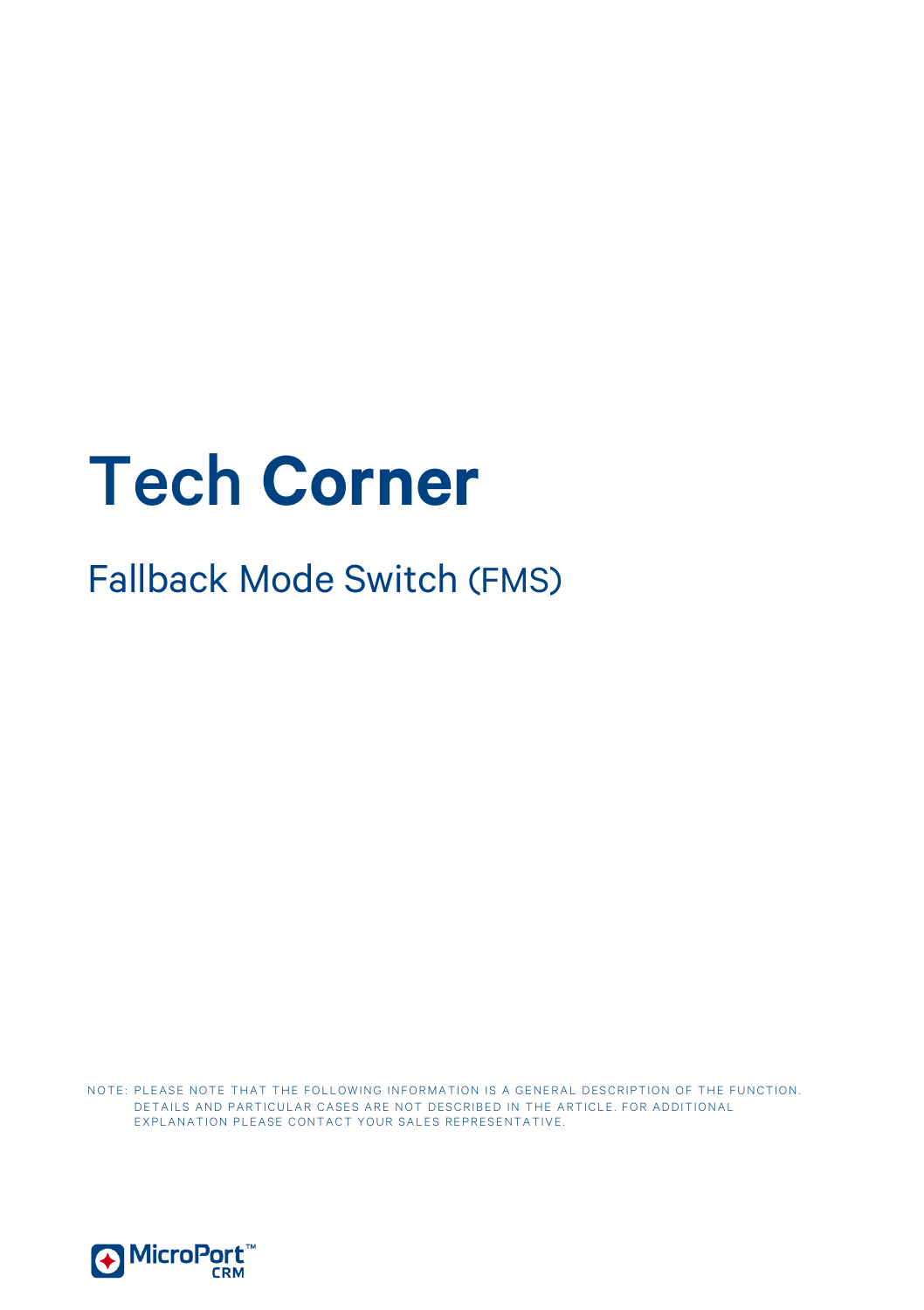# Tech **Corner**

Fallback Mode Switch (FMS)

NOTE: PLEASE NOTE THAT THE FOLLOWING INFORMATION IS A GENERAL DESCRIPTION OF THE FUNCTION. DETAILS AND PARTICULAR CASES ARE NOT DESCRIBED IN THE ARTICLE. FOR ADDITIONAL EXPLANATION PLEASE CONTACT YOUR SALES REPRESENTATIVE.

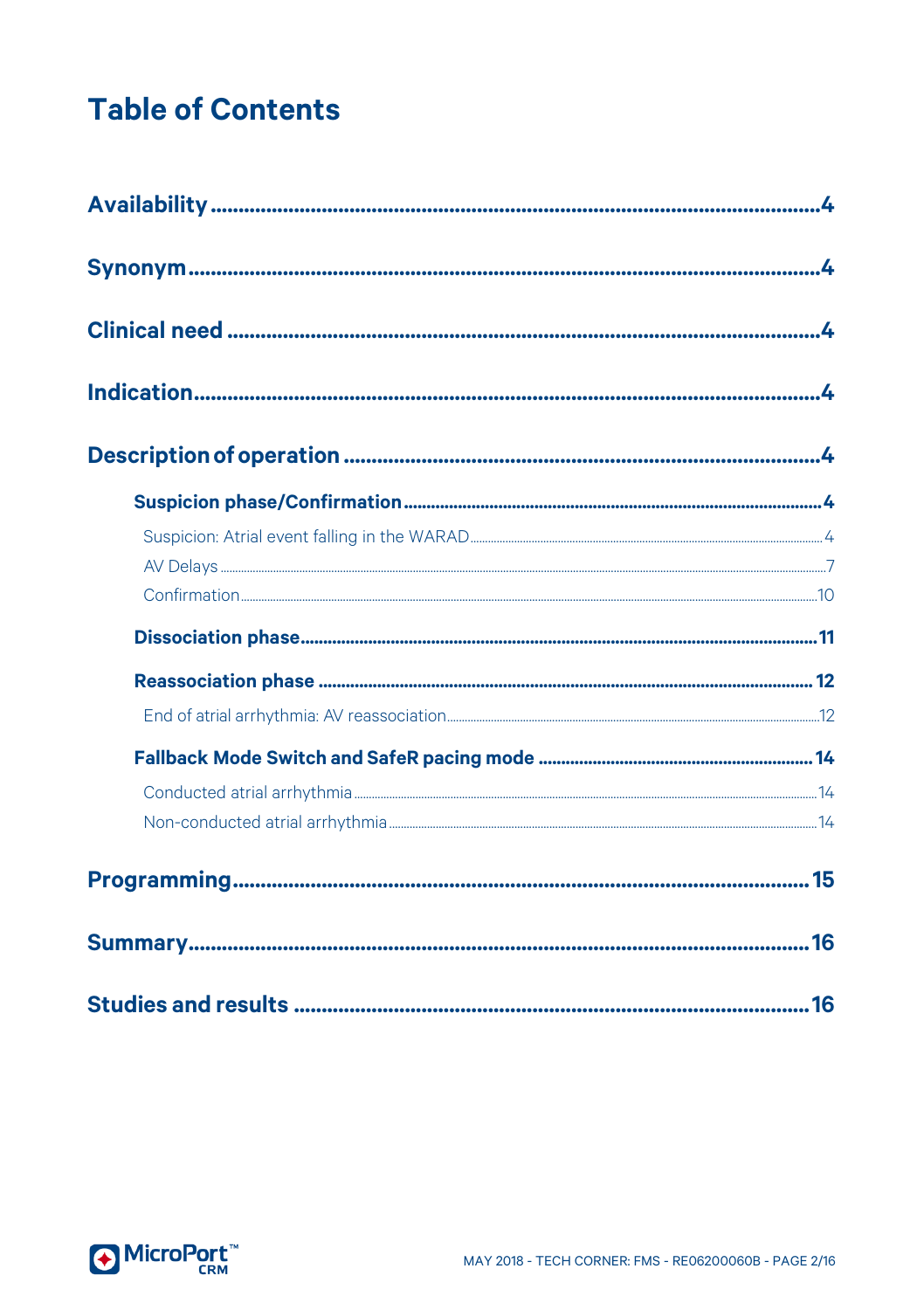# **Table of Contents**

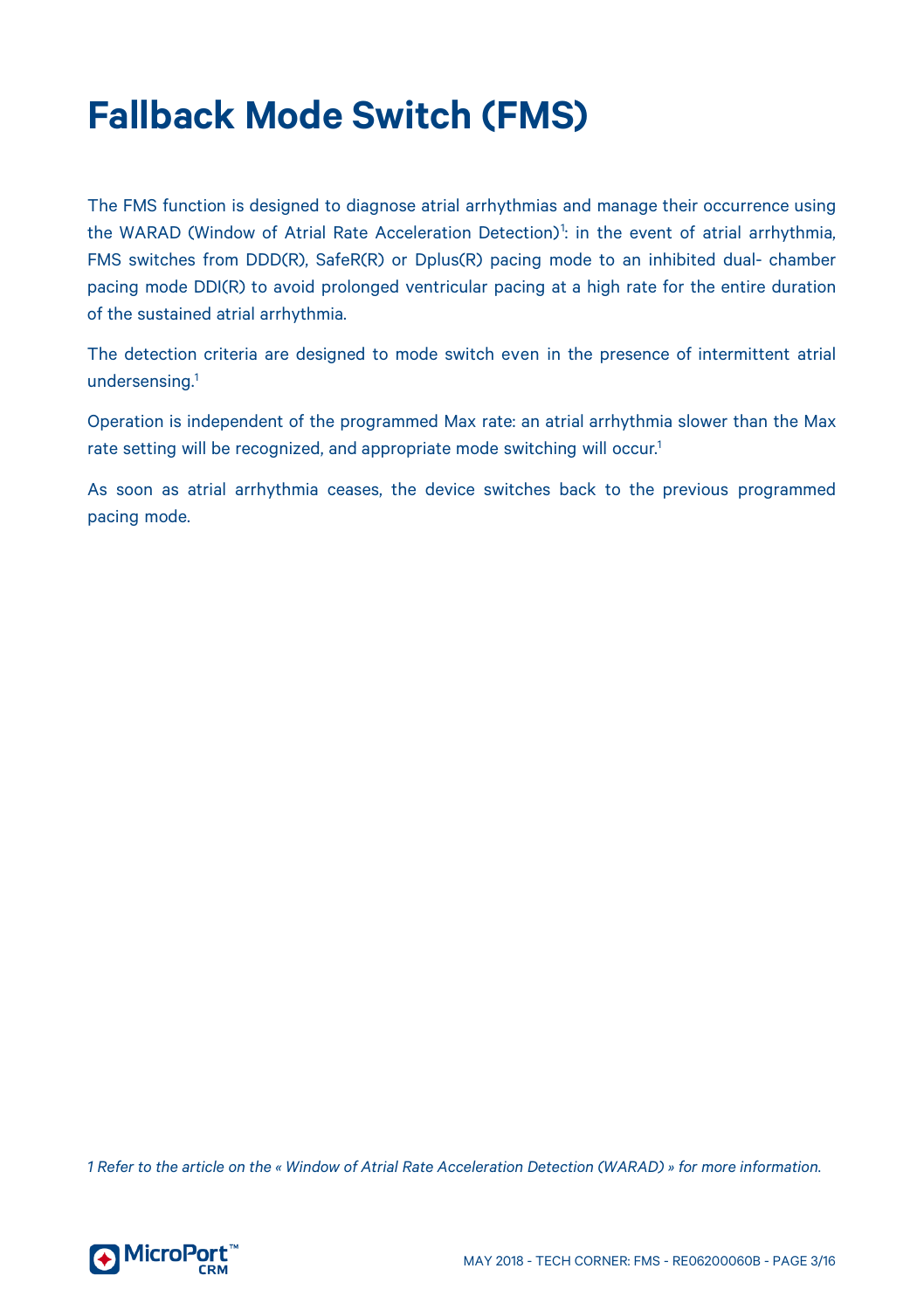# **Fallback Mode Switch (FMS)**

The FMS function is designed to diagnose atrial arrhythmias and manage their occurrence using the WARAD (Window of Atrial Rate Acceleration Detection)<sup>[1](#page-2-0)</sup>: in the event of atrial arrhythmia, FMS switches from DDD(R), SafeR(R) or Dplus(R) pacing mode to an inhibited dual- chamber pacing mode DDI(R) to avoid prolonged ventricular pacing at a high rate for the entire duration of the sustained atrial arrhythmia.

The detection criteria are designed to mode switch even in the presence of intermittent atrial undersensing. 1

Operation is independent of the programmed Max rate: an atrial arrhythmia slower than the Max rate setting will be recognized, and appropriate mode switching will occur. 1

As soon as atrial arrhythmia ceases, the device switches back to the previous programmed pacing mode.

<span id="page-2-0"></span>*1 Refer to the article on the « Window of Atrial Rate Acceleration Detection (WARAD) » for more information.*

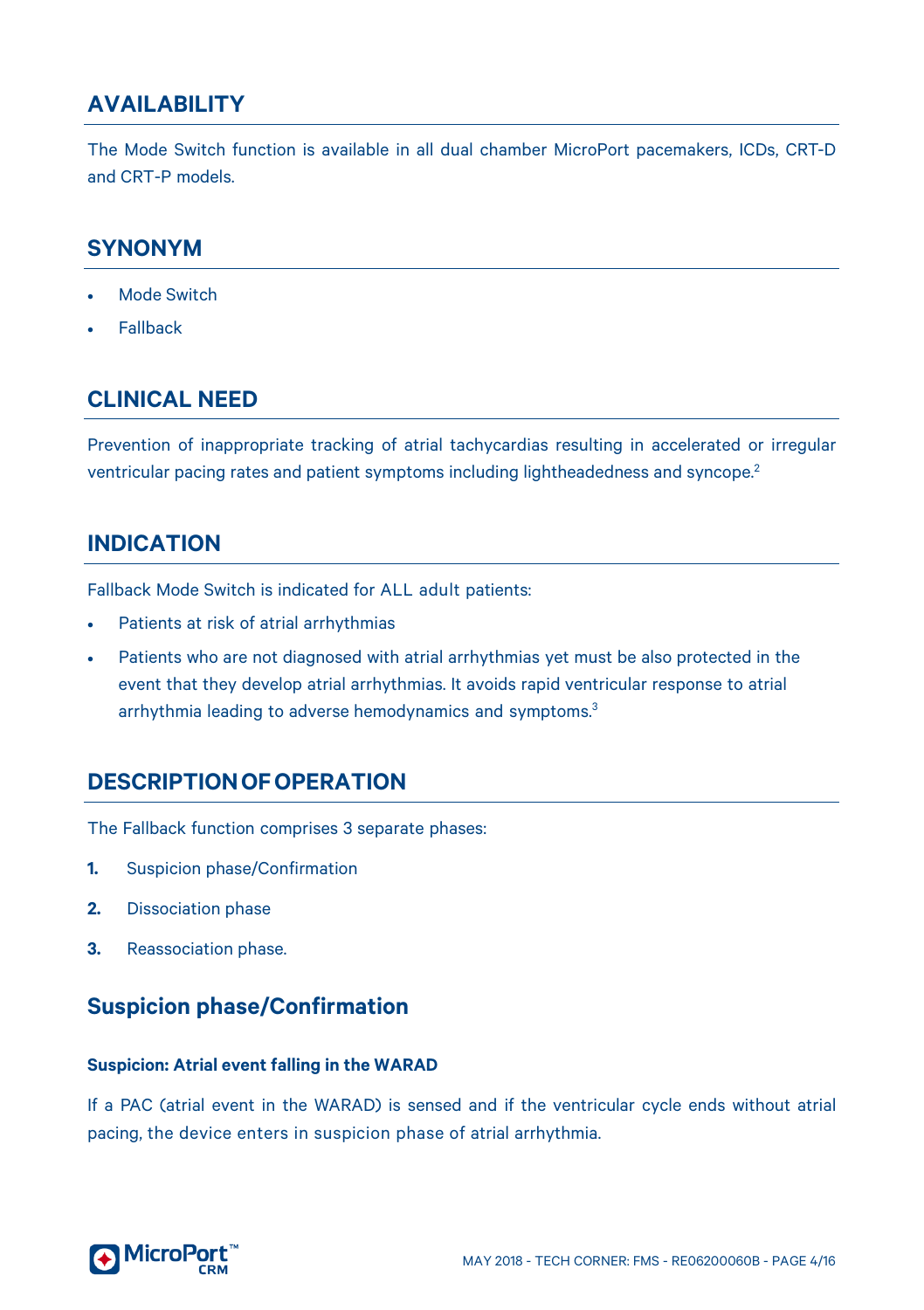# <span id="page-3-0"></span>**AVAILABILITY**

The Mode Switch function is available in all dual chamber MicroPort pacemakers, ICDs, CRT-D and CRT-P models.

# <span id="page-3-1"></span>**SYNONYM**

- Mode Switch
- <span id="page-3-2"></span>**Fallback**

# **CLINICAL NEED**

Prevention of inappropriate tracking of atrial tachycardias resulting in accelerated or irregular ventricular pacing rates and patient symptoms including lightheadedness and syncope.2

# <span id="page-3-3"></span>**INDICATION**

Fallback Mode Switch is indicated for ALL adult patients:

- Patients at risk of atrial arrhythmias
- Patients who are not diagnosed with atrial arrhythmias yet must be also protected in the event that they develop atrial arrhythmias. It avoids rapid ventricular response to atrial arrhythmia leading to adverse hemodynamics and symptoms.<sup>3</sup>

# <span id="page-3-4"></span>**DESCRIPTIONOFOPERATION**

The Fallback function comprises 3 separate phases:

- **1.** Suspicion phase/Confirmation
- **2.** Dissociation phase
- <span id="page-3-5"></span>**3.** Reassociation phase.

# **Suspicion phase/Confirmation**

#### <span id="page-3-6"></span>**Suspicion: Atrial event falling in the WARAD**

If a PAC (atrial event in the WARAD) is sensed and if the ventricular cycle ends without atrial pacing, the device enters in suspicion phase of atrial arrhythmia.

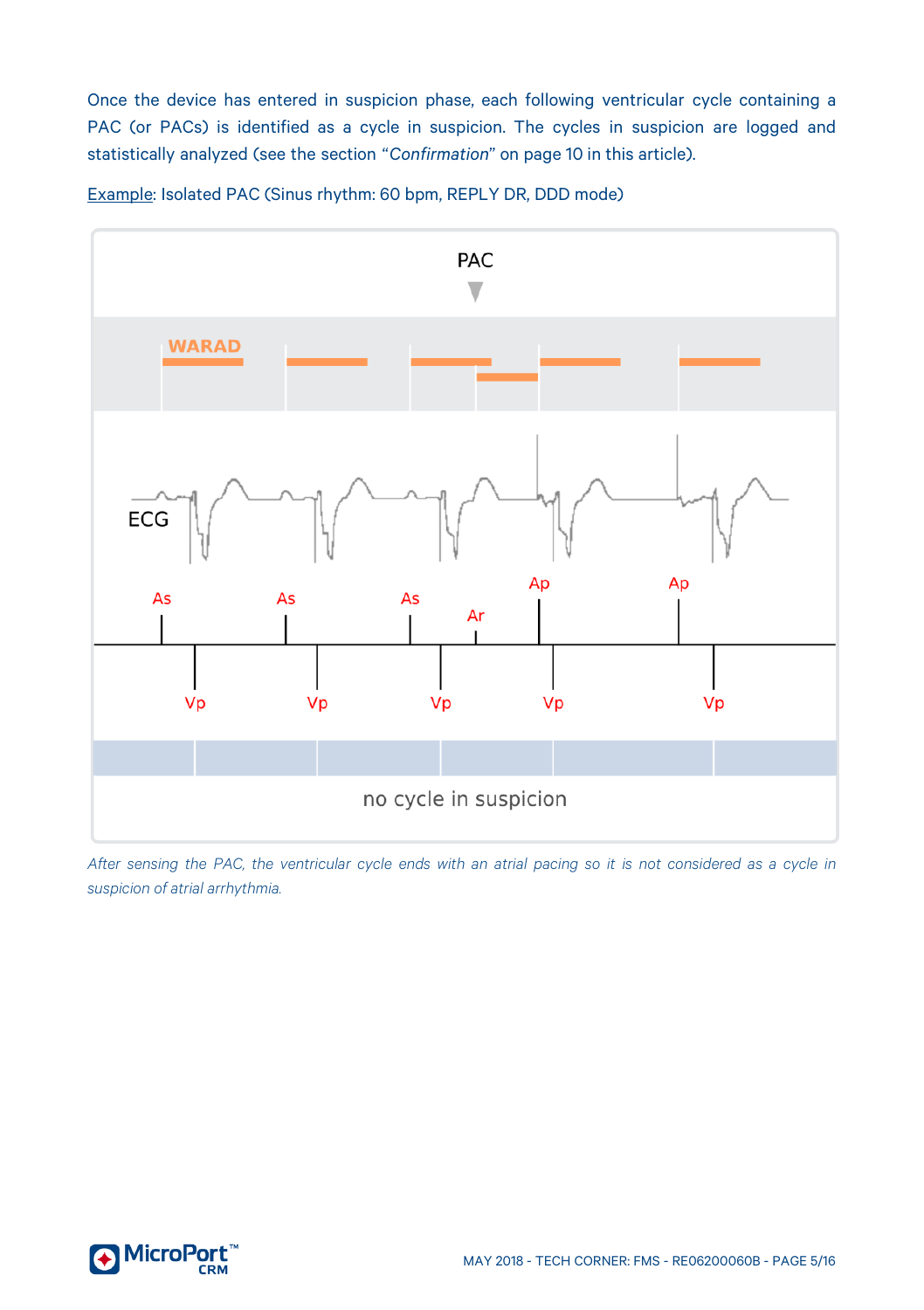Once the device has entered in suspicion phase, each following ventricular cycle containing a PAC (or PACs) is identified as a cycle in suspicion. The cycles in suspicion are logged and statistically analyzed (see the section "*Confirmation*" on pag[e 10](#page-9-0) in this article).

Example: Isolated PAC (Sinus rhythm: 60 bpm, REPLY DR, DDD mode)



*After sensing the PAC, the ventricular cycle ends with an atrial pacing so it is not considered as a cycle in suspicion of atrial arrhythmia.*

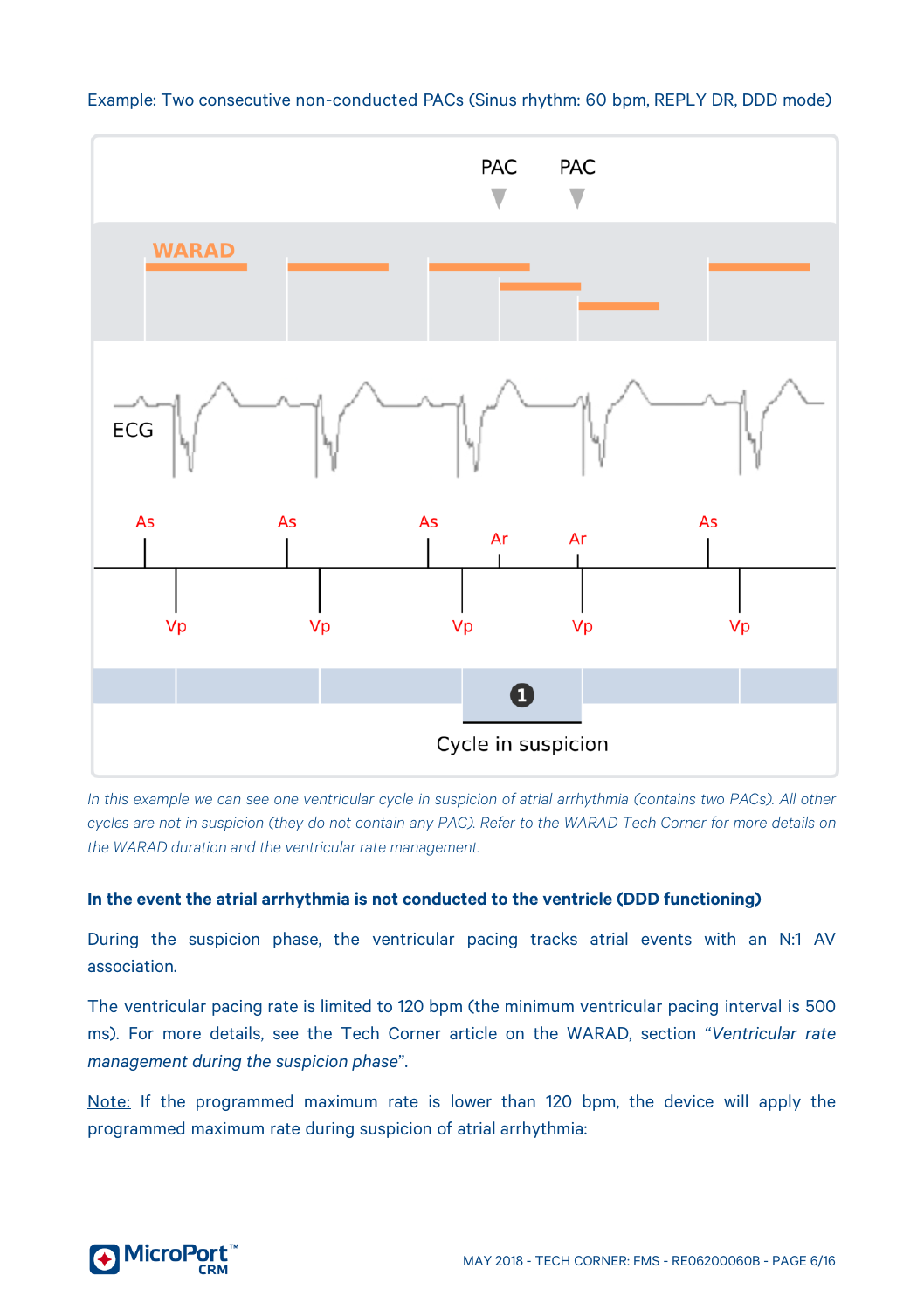

Example: Two consecutive non-conducted PACs (Sinus rhythm: 60 bpm, REPLY DR, DDD mode)

*In this example we can see one ventricular cycle in suspicion of atrial arrhythmia (contains two PACs). All other cycles are not in suspicion (they do not contain any PAC). Refer to the WARAD Tech Corner for more details on the WARAD duration and the ventricular rate management.*

#### **In the event the atrial arrhythmia is not conducted to the ventricle (DDD functioning)**

During the suspicion phase, the ventricular pacing tracks atrial events with an N:1 AV association.

The ventricular pacing rate is limited to 120 bpm (the minimum ventricular pacing interval is 500 ms). For more details, see the Tech Corner article on the WARAD, section "*Ventricular rate management during the suspicion phase*".

Note: If the programmed maximum rate is lower than 120 bpm, the device will apply the programmed maximum rate during suspicion of atrial arrhythmia:

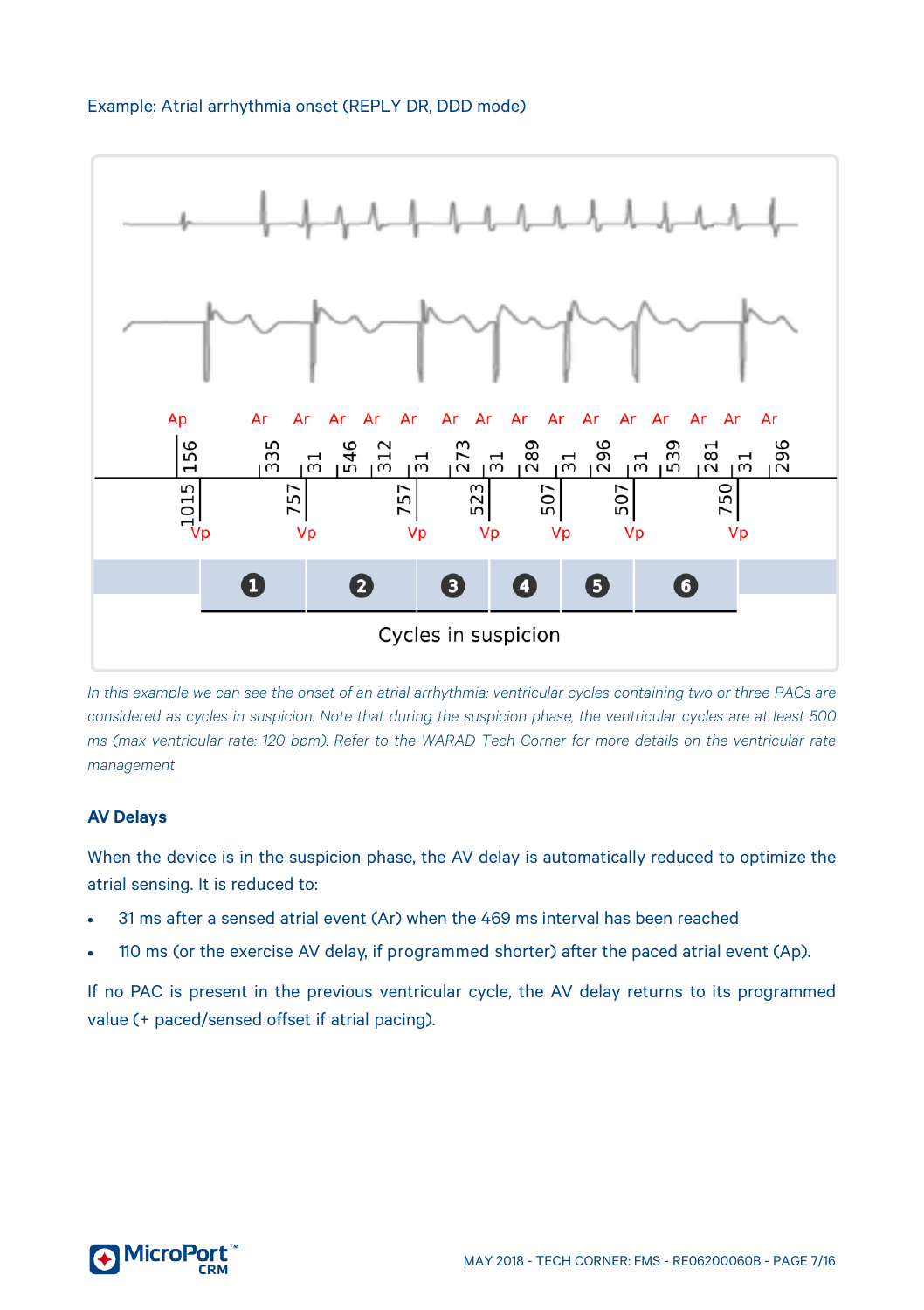



*In this example we can see the onset of an atrial arrhythmia: ventricular cycles containing two or three PACs are considered as cycles in suspicion. Note that during the suspicion phase, the ventricular cycles are at least 500 ms (max ventricular rate: 120 bpm). Refer to the WARAD Tech Corner for more details on the ventricular rate management*

#### <span id="page-6-0"></span>**AV Delays**

When the device is in the suspicion phase, the AV delay is automatically reduced to optimize the atrial sensing. It is reduced to:

- 31 ms after a sensed atrial event (Ar) when the 469 ms interval has been reached
- 110 ms (or the exercise AV delay, if programmed shorter) after the paced atrial event (Ap).

If no PAC is present in the previous ventricular cycle, the AV delay returns to its programmed value (+ paced/sensed offset if atrial pacing).

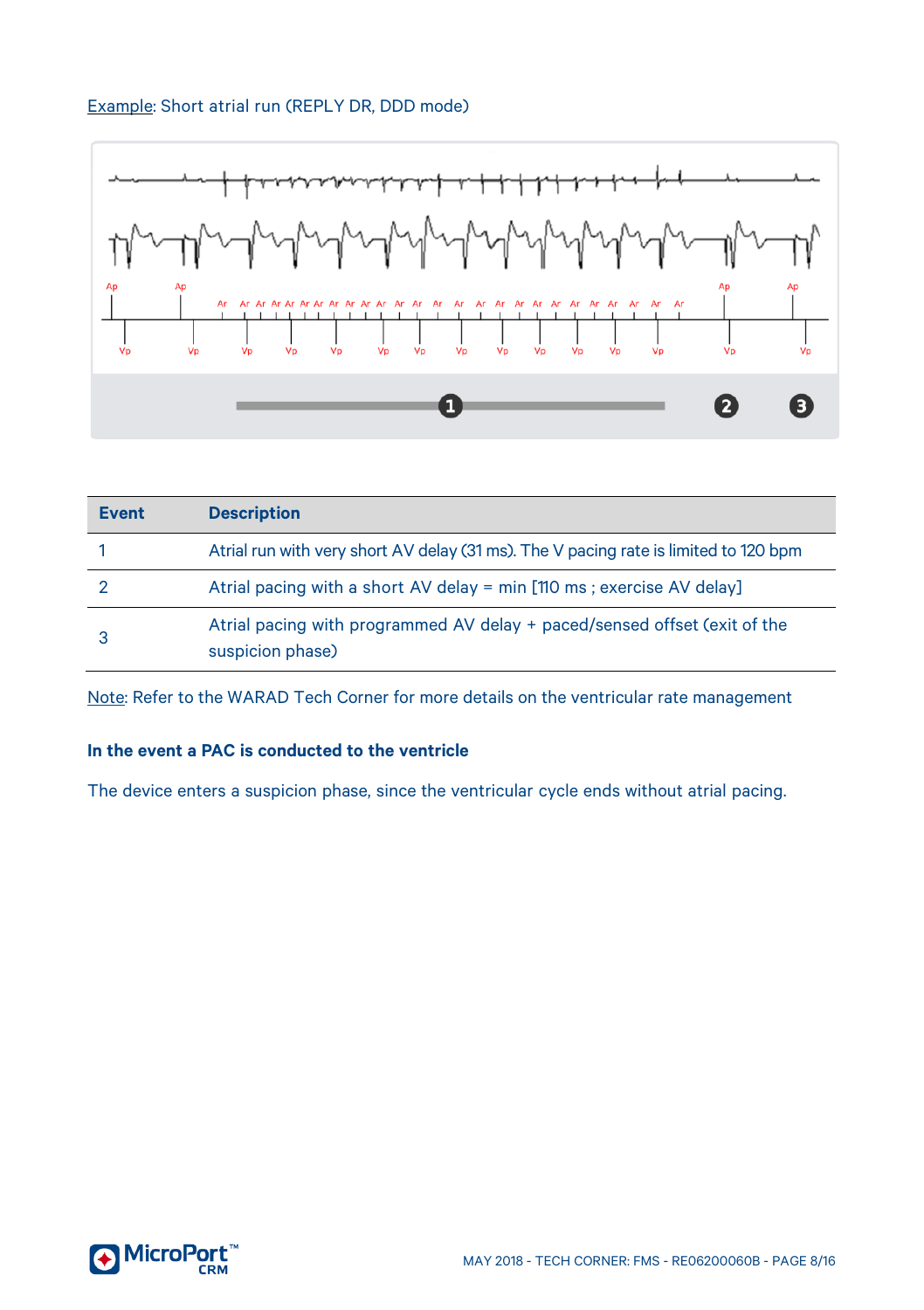### Example: Short atrial run (REPLY DR, DDD mode)



| Event | <b>Description</b>                                                                            |
|-------|-----------------------------------------------------------------------------------------------|
|       | Atrial run with very short AV delay (31 ms). The V pacing rate is limited to 120 bpm          |
|       | Atrial pacing with a short AV delay = min [110 ms ; exercise AV delay]                        |
|       | Atrial pacing with programmed AV delay + paced/sensed offset (exit of the<br>suspicion phase) |

Note: Refer to the WARAD Tech Corner for more details on the ventricular rate management

#### **In the event a PAC is conducted to the ventricle**

The device enters a suspicion phase, since the ventricular cycle ends without atrial pacing.

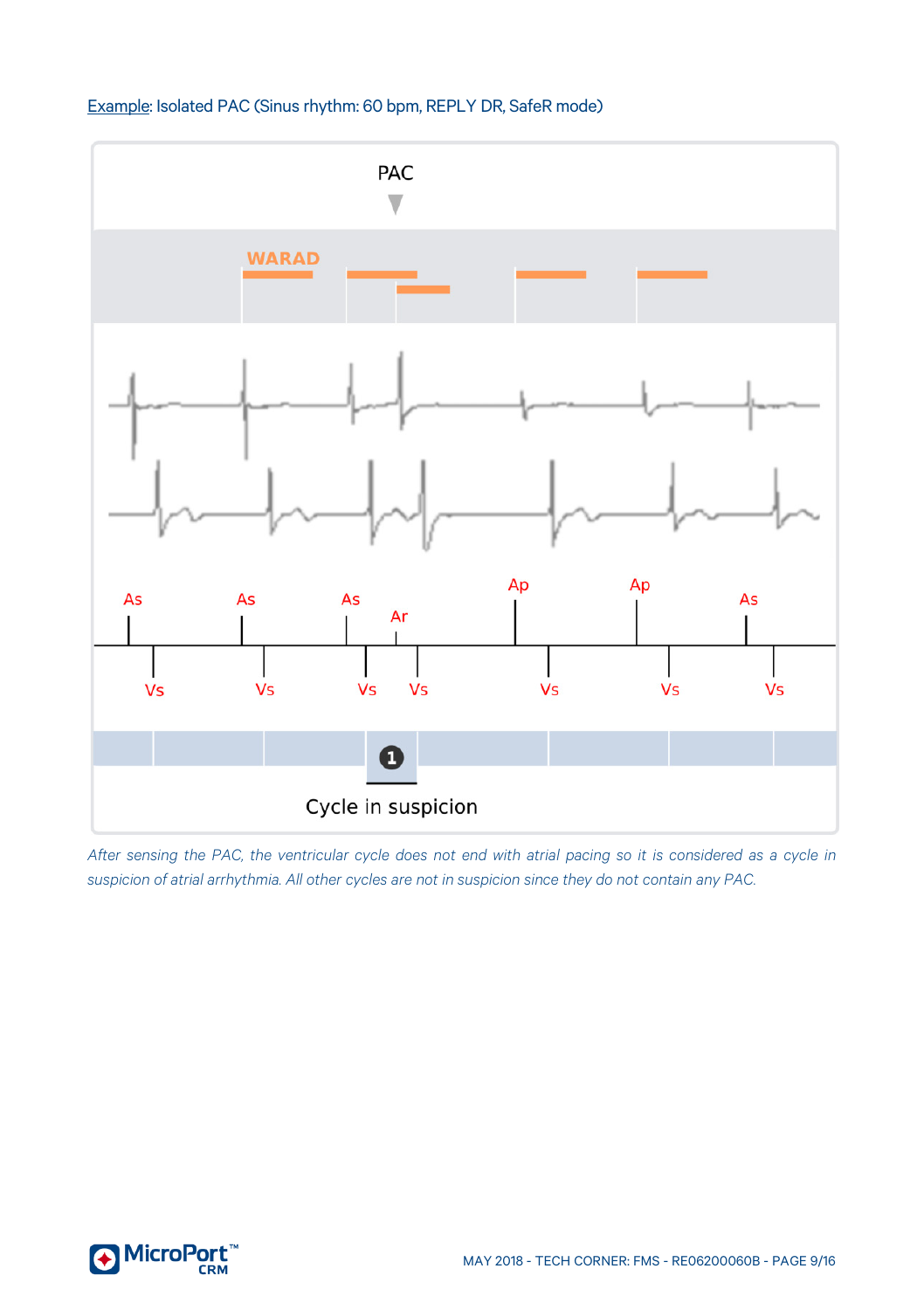



*After sensing the PAC, the ventricular cycle does not end with atrial pacing so it is considered as a cycle in suspicion of atrial arrhythmia. All other cycles are not in suspicion since they do not contain any PAC.*

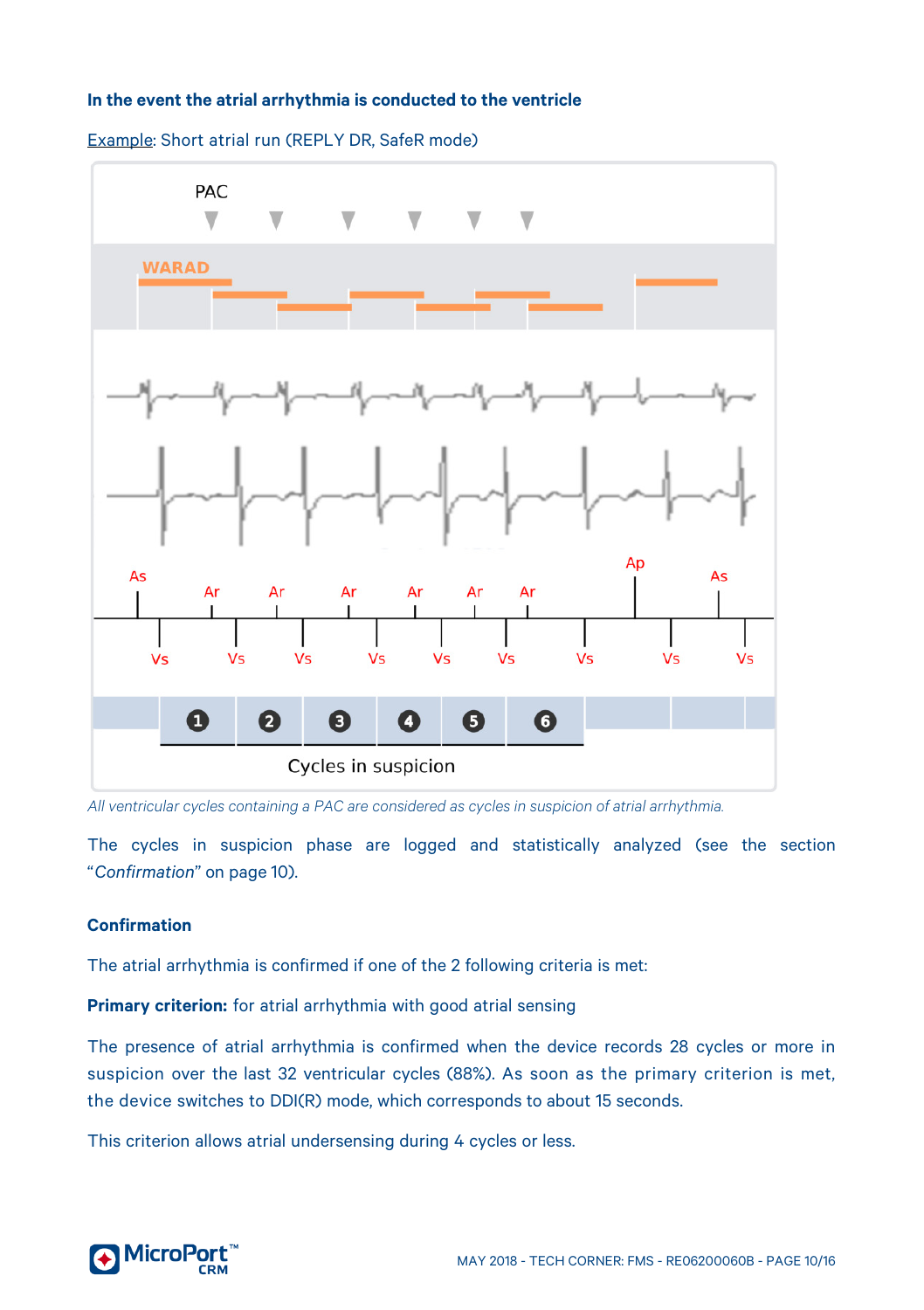#### **In the event the atrial arrhythmia is conducted to the ventricle**



Example: Short atrial run (REPLY DR, SafeR mode)

*All ventricular cycles containing a PAC are considered as cycles in suspicion of atrial arrhythmia.* 

The cycles in suspicion phase are logged and statistically analyzed (see the section "*Confirmation*" on pag[e 10\)](#page-9-0).

#### <span id="page-9-0"></span>**Confirmation**

The atrial arrhythmia is confirmed if one of the 2 following criteria is met:

**Primary criterion:** for atrial arrhythmia with good atrial sensing

The presence of atrial arrhythmia is confirmed when the device records 28 cycles or more in suspicion over the last 32 ventricular cycles (88%). As soon as the primary criterion is met, the device switches to DDI(R) mode, which corresponds to about 15 seconds.

This criterion allows atrial undersensing during 4 cycles or less.

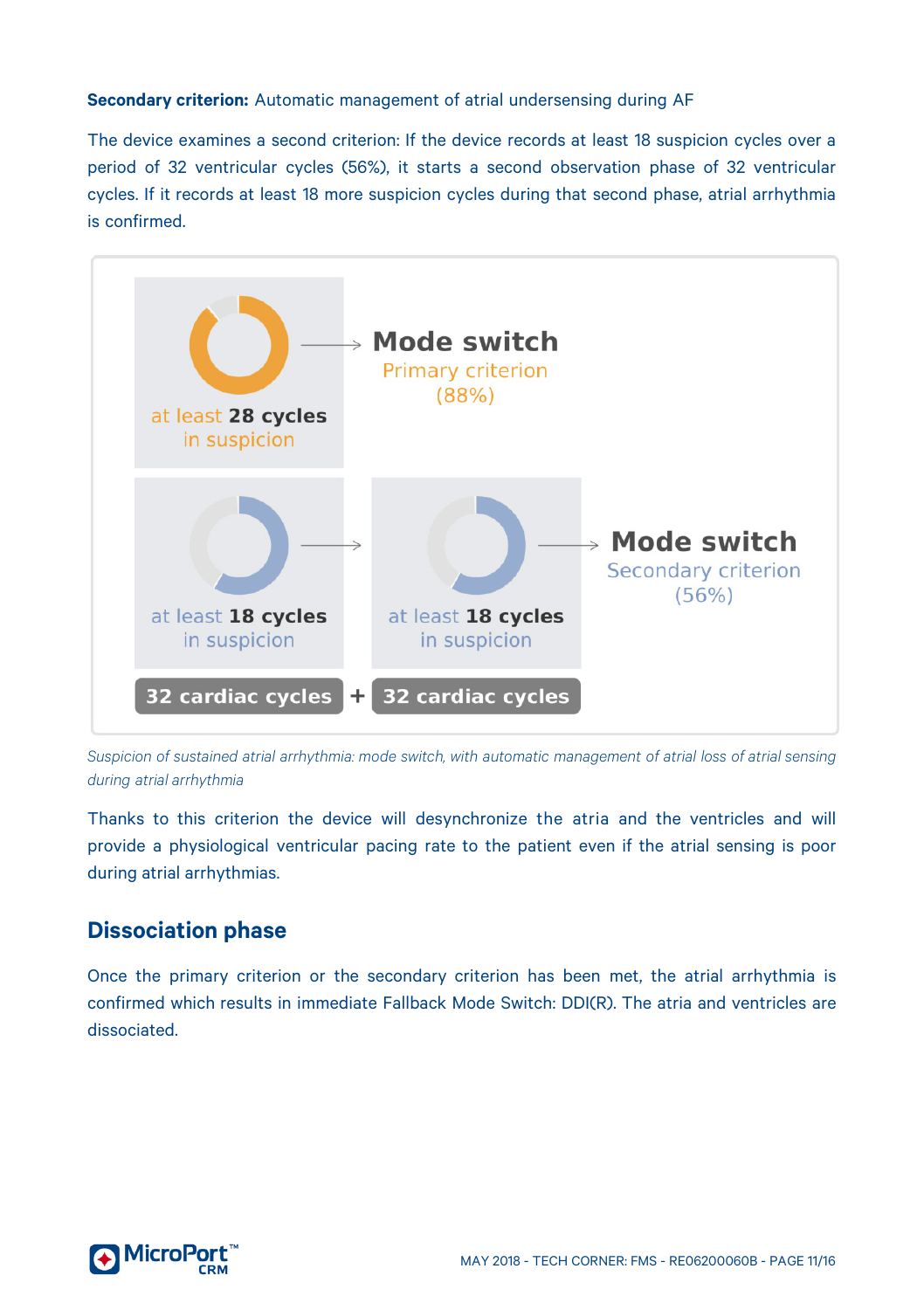#### **Secondary criterion:** Automatic management of atrial undersensing during AF

The device examines a second criterion: If the device records at least 18 suspicion cycles over a period of 32 ventricular cycles (56%), it starts a second observation phase of 32 ventricular cycles. If it records at least 18 more suspicion cycles during that second phase, atrial arrhythmia is confirmed.



*Suspicion of sustained atrial arrhythmia: mode switch, with automatic management of atrial loss of atrial sensing during atrial arrhythmia*

Thanks to this criterion the device will desynchronize the atria and the ventricles and will provide a physiological ventricular pacing rate to the patient even if the atrial sensing is poor during atrial arrhythmias.

# <span id="page-10-0"></span>**Dissociation phase**

Once the primary criterion or the secondary criterion has been met, the atrial arrhythmia is confirmed which results in immediate Fallback Mode Switch: DDI(R). The atria and ventricles are dissociated.

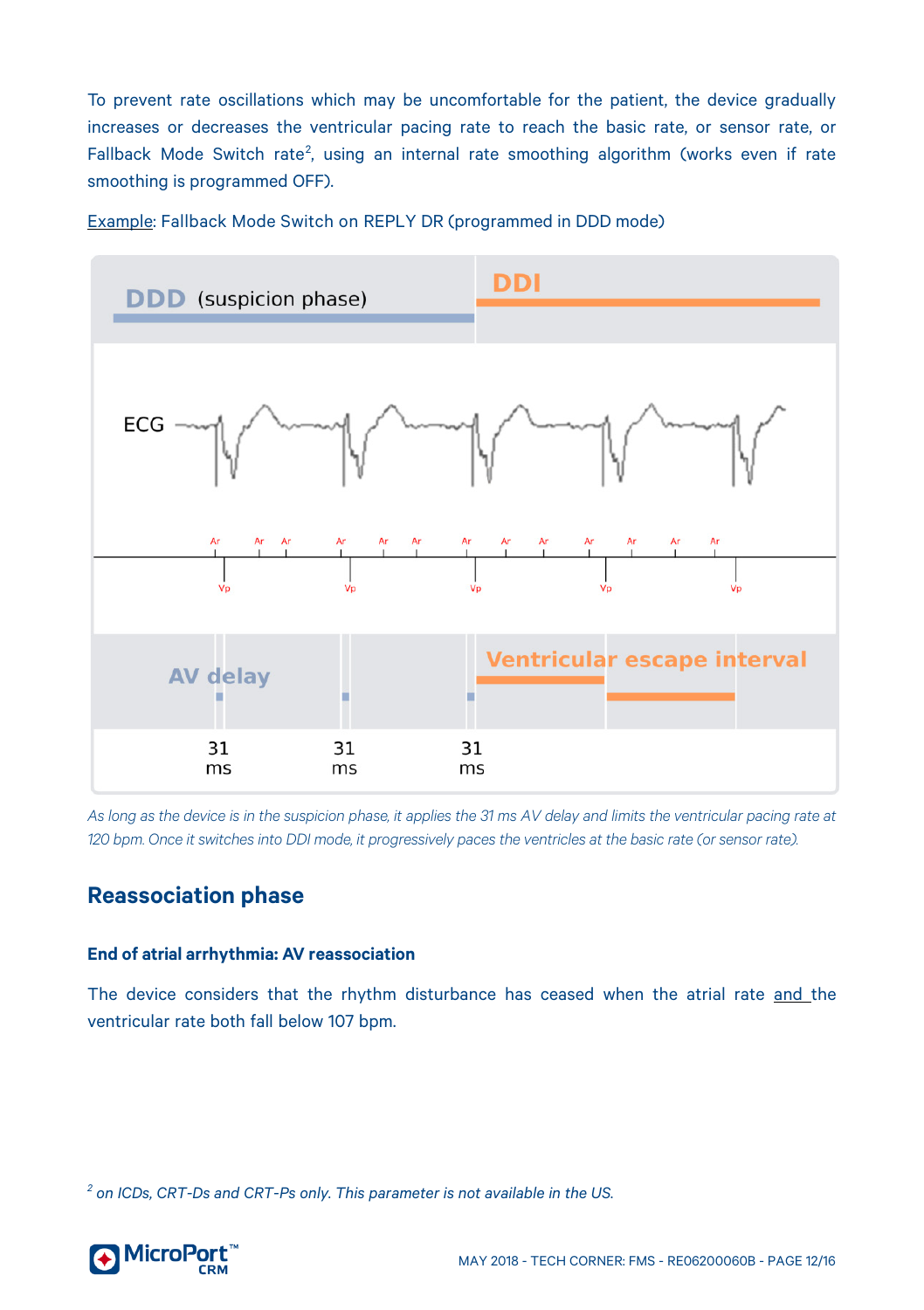To prevent rate oscillations which may be uncomfortable for the patient, the device gradually increases or decreases the ventricular pacing rate to reach the basic rate, or sensor rate, or Fallback Mode Switch rate<sup>[2](#page-11-2)</sup>, using an internal rate smoothing algorithm (works even if rate smoothing is programmed OFF).



Example: Fallback Mode Switch on REPLY DR (programmed in DDD mode)

*As long as the device is in the suspicion phase, it applies the 31 ms AV delay and limits the ventricular pacing rate at 120 bpm. Once it switches into DDI mode, it progressively paces the ventricles at the basic rate (or sensor rate).*

# <span id="page-11-0"></span>**Reassociation phase**

#### <span id="page-11-1"></span>**End of atrial arrhythmia: AV reassociation**

The device considers that the rhythm disturbance has ceased when the atrial rate and the ventricular rate both fall below 107 bpm.

<span id="page-11-2"></span>*<sup>2</sup> on ICDs, CRT-Ds and CRT-Ps only. This parameter is not available in the US.*

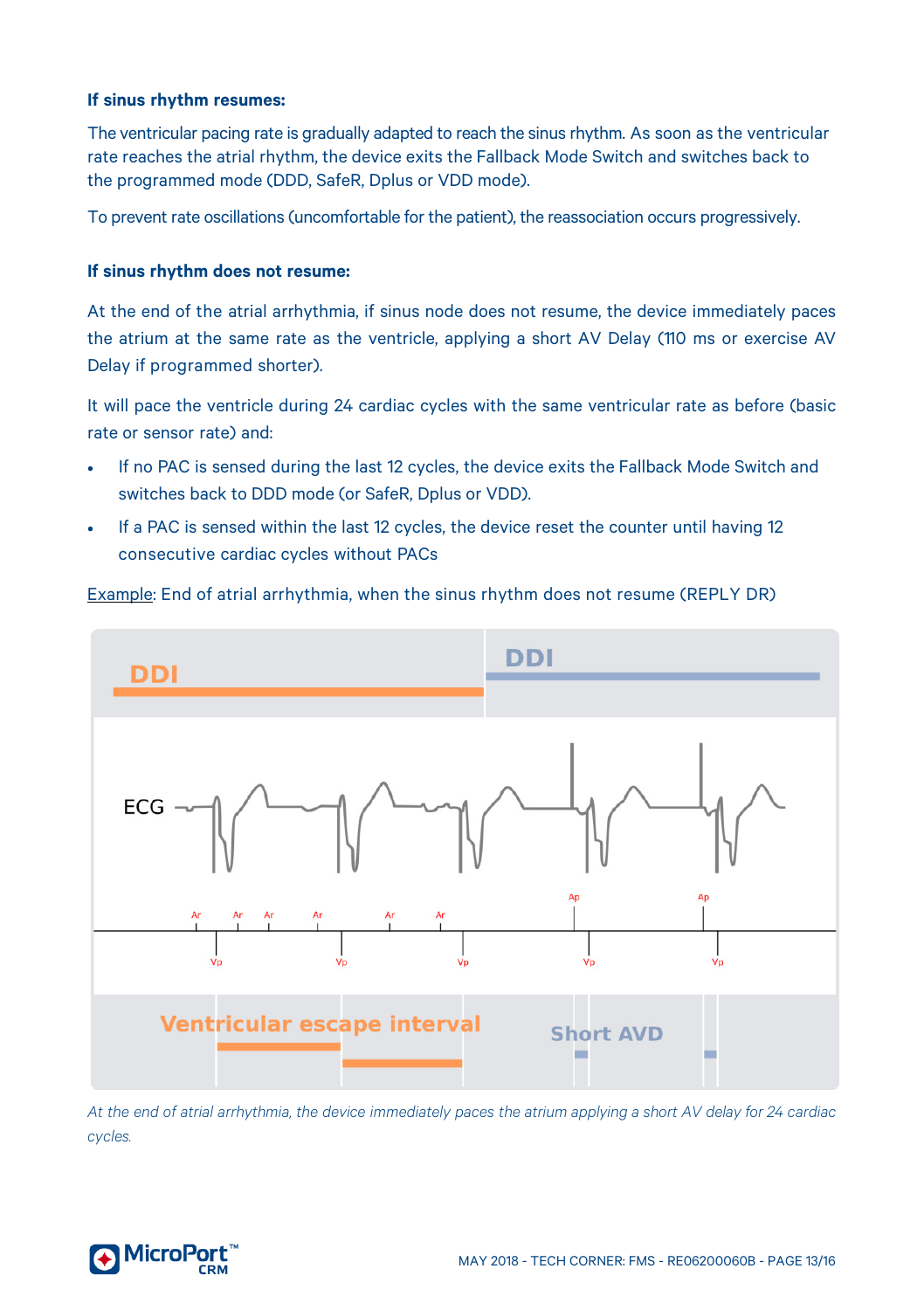#### **If sinus rhythm resumes:**

The ventricular pacing rate is gradually adapted to reach the sinus rhythm. As soon as the ventricular rate reaches the atrial rhythm, the device exits the Fallback Mode Switch and switches back to the programmed mode (DDD, SafeR, Dplus or VDD mode).

To prevent rate oscillations (uncomfortable for the patient), the reassociation occurs progressively.

#### **If sinus rhythm does not resume:**

At the end of the atrial arrhythmia, if sinus node does not resume, the device immediately paces the atrium at the same rate as the ventricle, applying a short AV Delay (110 ms or exercise AV Delay if programmed shorter).

It will pace the ventricle during 24 cardiac cycles with the same ventricular rate as before (basic rate or sensor rate) and:

- If no PAC is sensed during the last 12 cycles, the device exits the Fallback Mode Switch and switches back to DDD mode (or SafeR, Dplus or VDD).
- If a PAC is sensed within the last 12 cycles, the device reset the counter until having 12 consecutive cardiac cycles without PACs





*At the end of atrial arrhythmia, the device immediately paces the atrium applying a short AV delay for 24 cardiac cycles.* 

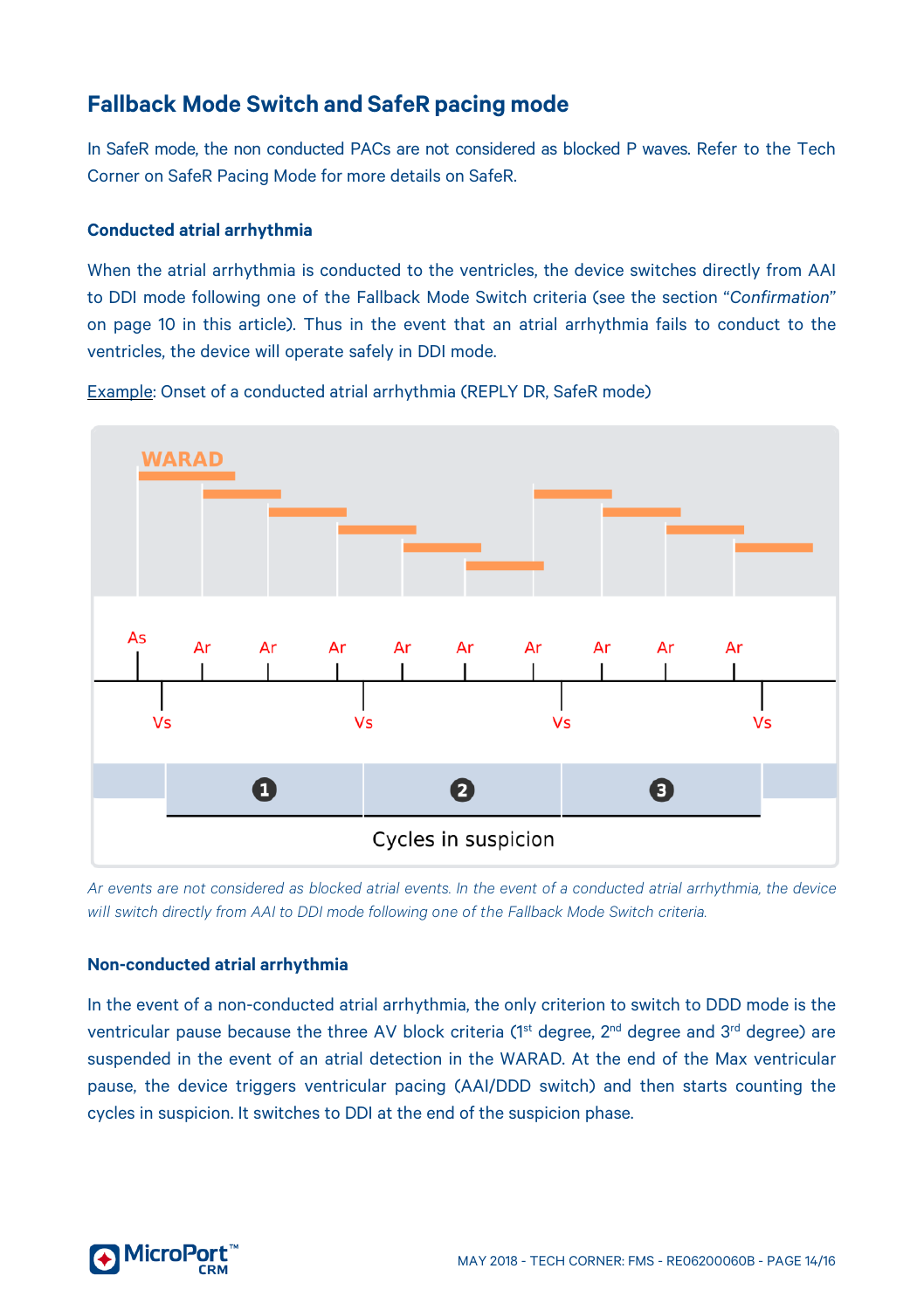# <span id="page-13-0"></span>**Fallback Mode Switch and SafeR pacing mode**

In SafeR mode, the non conducted PACs are not considered as blocked P waves. Refer to the Tech Corner on SafeR Pacing Mode for more details on SafeR.

#### <span id="page-13-1"></span>**Conducted atrial arrhythmia**

When the atrial arrhythmia is conducted to the ventricles, the device switches directly from AAI to DDI mode following one of the Fallback Mode Switch criteria (see the section "*Confirmation*" on page [10](#page-9-0) in this article). Thus in the event that an atrial arrhythmia fails to conduct to the ventricles, the device will operate safely in DDI mode.



Example: Onset of a conducted atrial arrhythmia (REPLY DR, SafeR mode)

Ar events are not considered as blocked atrial events. In the event of a conducted atrial arrhythmia, the device *will switch directly from AAI to DDI mode following one of the Fallback Mode Switch criteria.*

#### <span id="page-13-2"></span>**Non-conducted atrial arrhythmia**

In the event of a non-conducted atrial arrhythmia, the only criterion to switch to DDD mode is the ventricular pause because the three AV block criteria (1<sup>st</sup> degree, 2<sup>nd</sup> degree and 3<sup>rd</sup> degree) are suspended in the event of an atrial detection in the WARAD. At the end of the Max ventricular pause, the device triggers ventricular pacing (AAI/DDD switch) and then starts counting the cycles in suspicion. It switches to DDI at the end of the suspicion phase.

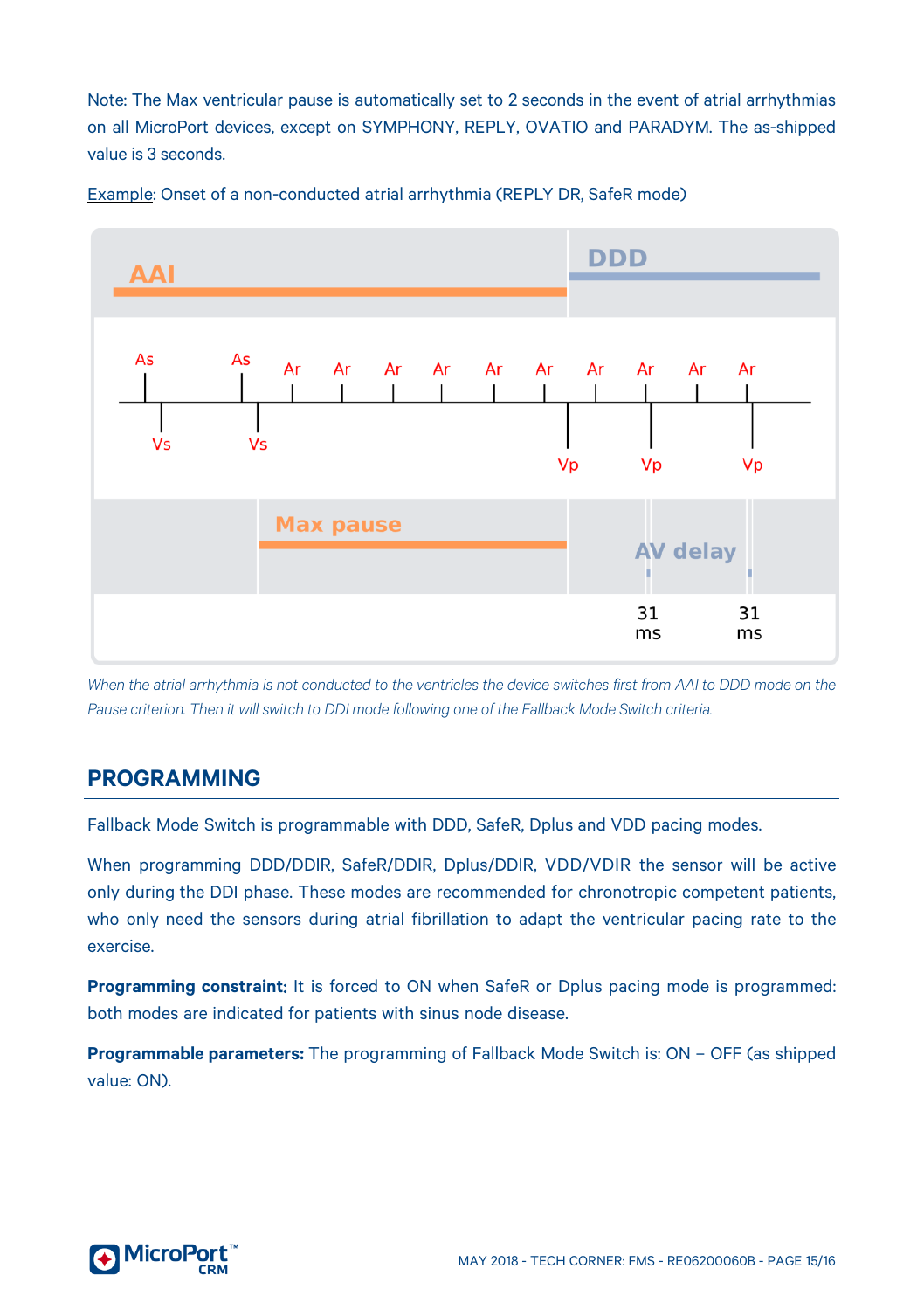Note: The Max ventricular pause is automatically set to 2 seconds in the event of atrial arrhythmias on all MicroPort devices, except on SYMPHONY, REPLY, OVATIO and PARADYM. The as-shipped value is 3 seconds.



Example: Onset of a non-conducted atrial arrhythmia (REPLY DR, SafeR mode)

*When the atrial arrhythmia is not conducted to the ventricles the device switches first from AAI to DDD mode on the Pause criterion. Then it will switch to DDI mode following one of the Fallback Mode Switch criteria.*

# <span id="page-14-0"></span>**PROGRAMMING**

Fallback Mode Switch is programmable with DDD, SafeR, Dplus and VDD pacing modes.

When programming DDD/DDIR, SafeR/DDIR, Dplus/DDIR, VDD/VDIR the sensor will be active only during the DDI phase. These modes are recommended for chronotropic competent patients, who only need the sensors during atrial fibrillation to adapt the ventricular pacing rate to the exercise.

**Programming constraint**: It is forced to ON when SafeR or Dplus pacing mode is programmed: both modes are indicated for patients with sinus node disease.

**Programmable parameters:** The programming of Fallback Mode Switch is: ON – OFF (as shipped value: ON).